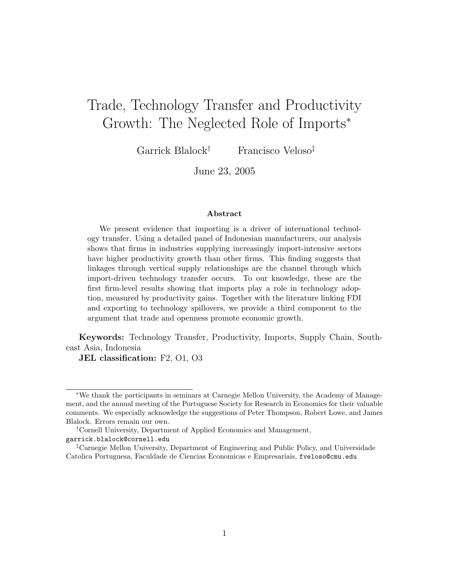# Trade, Technology Transfer and Productivity Growth: The Neglected Role of Imports<sup>∗</sup>

Garrick Blalock† Francisco Veloso‡

June 23, 2005

#### Abstract

We present evidence that importing is a driver of international technology transfer. Using a detailed panel of Indonesian manufacturers, our analysis shows that firms in industries supplying increasingly import-intensive sectors have higher productivity growth than other firms. This finding suggests that linkages through vertical supply relationships are the channel through which import-driven technology transfer occurs. To our knowledge, these are the first firm-level results showing that imports play a role in technology adoption, measured by productivity gains. Together with the literature linking FDI and exporting to technology spillovers, we provide a third component to the argument that trade and openness promote economic growth.

Keywords: Technology Transfer, Productivity, Imports, Supply Chain, Southeast Asia, Indonesia

JEL classification: F2, O1, O3

<sup>∗</sup>We thank the participants in seminars at Carnegie Mellon University, the Academy of Management, and the annual meeting of the Portuguese Society for Research in Economics for their valuable comments. We especially acknowledge the suggestions of Peter Thompson, Robert Lowe, and James Blalock. Errors remain our own.

<sup>†</sup>Cornell University, Department of Applied Economics and Management, garrick.blalock@cornell.edu

<sup>‡</sup>Carnegie Mellon University, Department of Engineering and Public Policy, and Universidade Catolica Portuguesa, Faculdade de Ciencias Economicas e Empresariais, fveloso@cmu.edu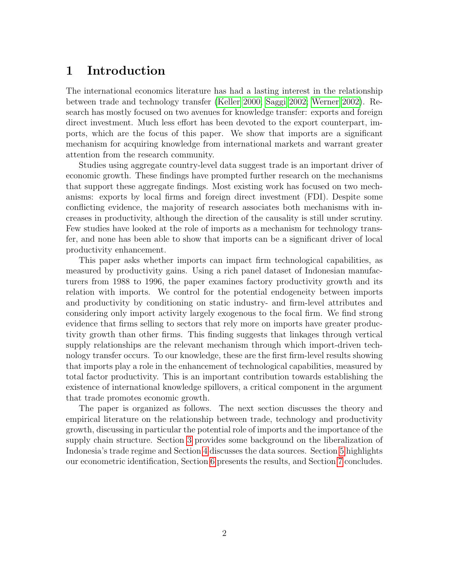### 1 Introduction

The international economics literature has had a lasting interest in the relationship between trade and technology transfer [\(Keller 2000;](#page-15-0) [Saggi 2002;](#page-16-0) [Werner 2002\)](#page-16-1). Research has mostly focused on two avenues for knowledge transfer: exports and foreign direct investment. Much less effort has been devoted to the export counterpart, imports, which are the focus of this paper. We show that imports are a significant mechanism for acquiring knowledge from international markets and warrant greater attention from the research community.

Studies using aggregate country-level data suggest trade is an important driver of economic growth. These findings have prompted further research on the mechanisms that support these aggregate findings. Most existing work has focused on two mechanisms: exports by local firms and foreign direct investment (FDI). Despite some conflicting evidence, the majority of research associates both mechanisms with increases in productivity, although the direction of the causality is still under scrutiny. Few studies have looked at the role of imports as a mechanism for technology transfer, and none has been able to show that imports can be a significant driver of local productivity enhancement.

This paper asks whether imports can impact firm technological capabilities, as measured by productivity gains. Using a rich panel dataset of Indonesian manufacturers from 1988 to 1996, the paper examines factory productivity growth and its relation with imports. We control for the potential endogeneity between imports and productivity by conditioning on static industry- and firm-level attributes and considering only import activity largely exogenous to the focal firm. We find strong evidence that firms selling to sectors that rely more on imports have greater productivity growth than other firms. This finding suggests that linkages through vertical supply relationships are the relevant mechanism through which import-driven technology transfer occurs. To our knowledge, these are the first firm-level results showing that imports play a role in the enhancement of technological capabilities, measured by total factor productivity. This is an important contribution towards establishing the existence of international knowledge spillovers, a critical component in the argument that trade promotes economic growth.

The paper is organized as follows. The next section discusses the theory and empirical literature on the relationship between trade, technology and productivity growth, discussing in particular the potential role of imports and the importance of the supply chain structure. Section [3](#page-6-0) provides some background on the liberalization of Indonesia's trade regime and Section [4](#page-6-1) discusses the data sources. Section [5](#page-7-0) highlights our econometric identification, Section [6](#page-12-0) presents the results, and Section [7](#page-13-0) concludes.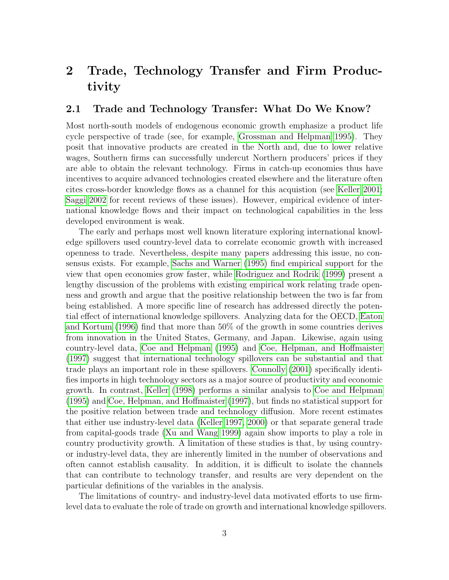## 2 Trade, Technology Transfer and Firm Productivity

#### 2.1 Trade and Technology Transfer: What Do We Know?

Most north-south models of endogenous economic growth emphasize a product life cycle perspective of trade (see, for example, [Grossman and Helpman 1995\)](#page-14-0). They posit that innovative products are created in the North and, due to lower relative wages, Southern firms can successfully undercut Northern producers' prices if they are able to obtain the relevant technology. Firms in catch-up economies thus have incentives to acquire advanced technologies created elsewhere and the literature often cites cross-border knowledge flows as a channel for this acquistion (see [Keller 2001;](#page-15-1) [Saggi 2002](#page-16-0) for recent reviews of these issues). However, empirical evidence of international knowledge flows and their impact on technological capabilities in the less developed environment is weak.

The early and perhaps most well known literature exploring international knowledge spillovers used country-level data to correlate economic growth with increased openness to trade. Nevertheless, despite many papers addressing this issue, no consensus exists. For example, [Sachs and Warner](#page-16-2) [\(1995\)](#page-16-2) find empirical support for the view that open economies grow faster, while [Rodriguez and Rodrik](#page-16-3) [\(1999\)](#page-16-3) present a lengthy discussion of the problems with existing empirical work relating trade openness and growth and argue that the positive relationship between the two is far from being established. A more specific line of research has addressed directly the potential effect of international knowledge spillovers. Analyzing data for the OECD, [Eaton](#page-14-1) [and Kortum](#page-14-1) [\(1996\)](#page-14-1) find that more than 50% of the growth in some countries derives from innovation in the United States, Germany, and Japan. Likewise, again using country-level data, [Coe and Helpman](#page-14-2) [\(1995\)](#page-14-2) and [Coe, Helpman, and Hoffmaister](#page-14-3) [\(1997\)](#page-14-3) suggest that international technology spillovers can be substantial and that trade plays an important role in these spillovers. [Connolly](#page-14-4) [\(2001\)](#page-14-4) specifically identifies imports in high technology sectors as a major source of productivity and economic growth. In contrast, [Keller](#page-15-2) [\(1998\)](#page-15-2) performs a similar analysis to [Coe and Helpman](#page-14-2) [\(1995\)](#page-14-2) and [Coe, Helpman, and Hoffmaister](#page-14-3) [\(1997\)](#page-14-3), but finds no statistical support for the positive relation between trade and technology diffusion. More recent estimates that either use industry-level data [\(Keller 1997,](#page-15-3) [2000\)](#page-15-0) or that separate general trade from capital-goods trade [\(Xu and Wang 1999\)](#page-16-4) again show imports to play a role in country productivity growth. A limitation of these studies is that, by using countryor industry-level data, they are inherently limited in the number of observations and often cannot establish causality. In addition, it is difficult to isolate the channels that can contribute to technology transfer, and results are very dependent on the particular definitions of the variables in the analysis.

The limitations of country- and industry-level data motivated efforts to use firmlevel data to evaluate the role of trade on growth and international knowledge spillovers.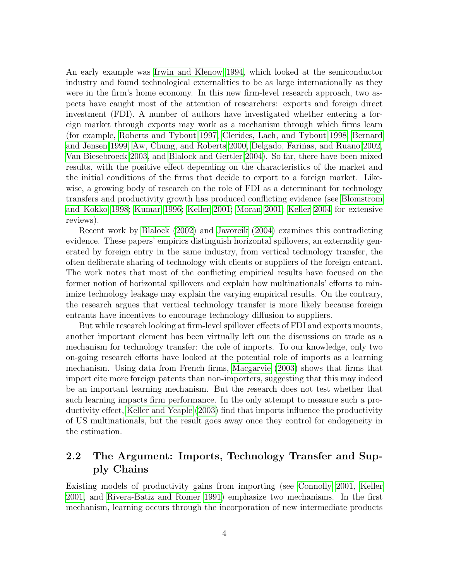An early example was [Irwin and Klenow 1994,](#page-15-4) which looked at the semiconductor industry and found technological externalities to be as large internationally as they were in the firm's home economy. In this new firm-level research approach, two aspects have caught most of the attention of researchers: exports and foreign direct investment (FDI). A number of authors have investigated whether entering a foreign market through exports may work as a mechanism through which firms learn (for example, [Roberts and Tybout 1997,](#page-16-5) [Clerides, Lach, and Tybout 1998,](#page-14-5) [Bernard](#page-13-1) [and Jensen 1999,](#page-13-1) [Aw, Chung, and Roberts 2000,](#page-13-2) Delgado, Fariñas, and Ruano 2002, [Van Biesebroeck 2003,](#page-16-6) and [Blalock and Gertler 2004\)](#page-14-7). So far, there have been mixed results, with the positive effect depending on the characteristics of the market and the initial conditions of the firms that decide to export to a foreign market. Likewise, a growing body of research on the role of FDI as a determinant for technology transfers and productivity growth has produced conflicting evidence (see [Blomstrom](#page-14-8) [and Kokko 1998;](#page-14-8) [Kumar 1996;](#page-15-5) [Keller 2001;](#page-15-1) [Moran 2001;](#page-15-6) [Keller 2004](#page-15-7) for extensive reviews).

Recent work by [Blalock](#page-14-9) [\(2002\)](#page-14-9) and [Javorcik](#page-15-8) [\(2004\)](#page-15-8) examines this contradicting evidence. These papers' empirics distinguish horizontal spillovers, an externality generated by foreign entry in the same industry, from vertical technology transfer, the often deliberate sharing of technology with clients or suppliers of the foreign entrant. The work notes that most of the conflicting empirical results have focused on the former notion of horizontal spillovers and explain how multinationals' efforts to minimize technology leakage may explain the varying empirical results. On the contrary, the research argues that vertical technology transfer is more likely because foreign entrants have incentives to encourage technology diffusion to suppliers.

But while research looking at firm-level spillover effects of FDI and exports mounts, another important element has been virtually left out the discussions on trade as a mechanism for technology transfer: the role of imports. To our knowledge, only two on-going research efforts have looked at the potential role of imports as a learning mechanism. Using data from French firms, [Macgarvie](#page-15-9) [\(2003\)](#page-15-9) shows that firms that import cite more foreign patents than non-importers, suggesting that this may indeed be an important learning mechanism. But the research does not test whether that such learning impacts firm performance. In the only attempt to measure such a productivity effect, [Keller and Yeaple](#page-15-10) [\(2003\)](#page-15-10) find that imports influence the productivity of US multinationals, but the result goes away once they control for endogeneity in the estimation.

#### <span id="page-3-0"></span>2.2 The Argument: Imports, Technology Transfer and Supply Chains

Existing models of productivity gains from importing (see [Connolly 2001,](#page-14-4) [Keller](#page-15-1) [2001,](#page-15-1) and [Rivera-Batiz and Romer 1991\)](#page-16-7) emphasize two mechanisms. In the first mechanism, learning occurs through the incorporation of new intermediate products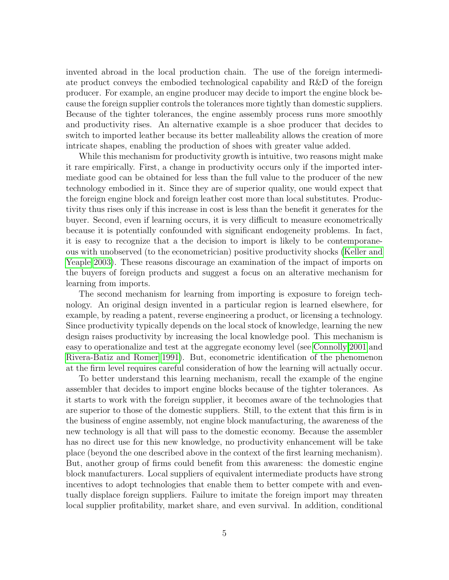invented abroad in the local production chain. The use of the foreign intermediate product conveys the embodied technological capability and R&D of the foreign producer. For example, an engine producer may decide to import the engine block because the foreign supplier controls the tolerances more tightly than domestic suppliers. Because of the tighter tolerances, the engine assembly process runs more smoothly and productivity rises. An alternative example is a shoe producer that decides to switch to imported leather because its better malleability allows the creation of more intricate shapes, enabling the production of shoes with greater value added.

While this mechanism for productivity growth is intuitive, two reasons might make it rare empirically. First, a change in productivity occurs only if the imported intermediate good can be obtained for less than the full value to the producer of the new technology embodied in it. Since they are of superior quality, one would expect that the foreign engine block and foreign leather cost more than local substitutes. Productivity thus rises only if this increase in cost is less than the benefit it generates for the buyer. Second, even if learning occurs, it is very difficult to measure econometrically because it is potentially confounded with significant endogeneity problems. In fact, it is easy to recognize that a the decision to import is likely to be contemporaneous with unobserved (to the econometrician) positive productivity shocks [\(Keller and](#page-15-10) [Yeaple 2003\)](#page-15-10). These reasons discourage an examination of the impact of imports on the buyers of foreign products and suggest a focus on an alterative mechanism for learning from imports.

The second mechanism for learning from importing is exposure to foreign technology. An original design invented in a particular region is learned elsewhere, for example, by reading a patent, reverse engineering a product, or licensing a technology. Since productivity typically depends on the local stock of knowledge, learning the new design raises productivity by increasing the local knowledge pool. This mechanism is easy to operationalize and test at the aggregate economy level (see [Connolly 2001](#page-14-4) and [Rivera-Batiz and Romer 1991\)](#page-16-7). But, econometric identification of the phenomenon at the firm level requires careful consideration of how the learning will actually occur.

To better understand this learning mechanism, recall the example of the engine assembler that decides to import engine blocks because of the tighter tolerances. As it starts to work with the foreign supplier, it becomes aware of the technologies that are superior to those of the domestic suppliers. Still, to the extent that this firm is in the business of engine assembly, not engine block manufacturing, the awareness of the new technology is all that will pass to the domestic economy. Because the assembler has no direct use for this new knowledge, no productivity enhancement will be take place (beyond the one described above in the context of the first learning mechanism). But, another group of firms could benefit from this awareness: the domestic engine block manufacturers. Local suppliers of equivalent intermediate products have strong incentives to adopt technologies that enable them to better compete with and eventually displace foreign suppliers. Failure to imitate the foreign import may threaten local supplier profitability, market share, and even survival. In addition, conditional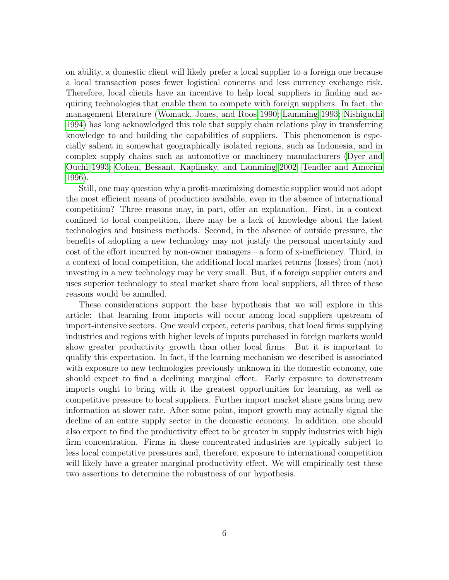on ability, a domestic client will likely prefer a local supplier to a foreign one because a local transaction poses fewer logistical concerns and less currency exchange risk. Therefore, local clients have an incentive to help local suppliers in finding and acquiring technologies that enable them to compete with foreign suppliers. In fact, the management literature [\(Womack, Jones, and Roos 1990;](#page-16-8) [Lamming 1993;](#page-15-11) [Nishiguchi](#page-16-9) [1994\)](#page-16-9) has long acknowledged this role that supply chain relations play in transferring knowledge to and building the capabilities of suppliers. This phenomenon is especially salient in somewhat geographically isolated regions, such as Indonesia, and in complex supply chains such as automotive or machinery manufacturers [\(Dyer and](#page-14-10) [Ouchi 1993;](#page-14-10) [Cohen, Bessant, Kaplinsky, and Lamming 2002;](#page-14-11) [Tendler and Amorim](#page-16-10) [1996\)](#page-16-10).

Still, one may question why a profit-maximizing domestic supplier would not adopt the most efficient means of production available, even in the absence of international competition? Three reasons may, in part, offer an explanation. First, in a context confined to local competition, there may be a lack of knowledge about the latest technologies and business methods. Second, in the absence of outside pressure, the benefits of adopting a new technology may not justify the personal uncertainty and cost of the effort incurred by non-owner managers—a form of x-inefficiency. Third, in a context of local competition, the additional local market returns (losses) from (not) investing in a new technology may be very small. But, if a foreign supplier enters and uses superior technology to steal market share from local suppliers, all three of these reasons would be annulled.

These considerations support the base hypothesis that we will explore in this article: that learning from imports will occur among local suppliers upstream of import-intensive sectors. One would expect, ceteris paribus, that local firms supplying industries and regions with higher levels of inputs purchased in foreign markets would show greater productivity growth than other local firms. But it is important to qualify this expectation. In fact, if the learning mechanism we described is associated with exposure to new technologies previously unknown in the domestic economy, one should expect to find a declining marginal effect. Early exposure to downstream imports ought to bring with it the greatest opportunities for learning, as well as competitive pressure to local suppliers. Further import market share gains bring new information at slower rate. After some point, import growth may actually signal the decline of an entire supply sector in the domestic economy. In addition, one should also expect to find the productivity effect to be greater in supply industries with high firm concentration. Firms in these concentrated industries are typically subject to less local competitive pressures and, therefore, exposure to international competition will likely have a greater marginal productivity effect. We will empirically test these two assertions to determine the robustness of our hypothesis.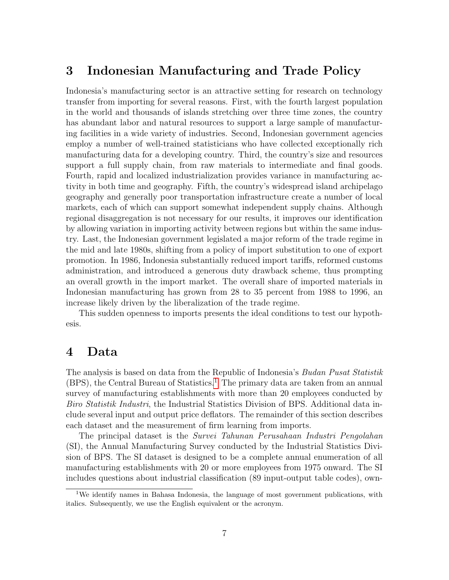### <span id="page-6-0"></span>3 Indonesian Manufacturing and Trade Policy

Indonesia's manufacturing sector is an attractive setting for research on technology transfer from importing for several reasons. First, with the fourth largest population in the world and thousands of islands stretching over three time zones, the country has abundant labor and natural resources to support a large sample of manufacturing facilities in a wide variety of industries. Second, Indonesian government agencies employ a number of well-trained statisticians who have collected exceptionally rich manufacturing data for a developing country. Third, the country's size and resources support a full supply chain, from raw materials to intermediate and final goods. Fourth, rapid and localized industrialization provides variance in manufacturing activity in both time and geography. Fifth, the country's widespread island archipelago geography and generally poor transportation infrastructure create a number of local markets, each of which can support somewhat independent supply chains. Although regional disaggregation is not necessary for our results, it improves our identification by allowing variation in importing activity between regions but within the same industry. Last, the Indonesian government legislated a major reform of the trade regime in the mid and late 1980s, shifting from a policy of import substitution to one of export promotion. In 1986, Indonesia substantially reduced import tariffs, reformed customs administration, and introduced a generous duty drawback scheme, thus prompting an overall growth in the import market. The overall share of imported materials in Indonesian manufacturing has grown from 28 to 35 percent from 1988 to 1996, an increase likely driven by the liberalization of the trade regime.

This sudden openness to imports presents the ideal conditions to test our hypothesis.

#### <span id="page-6-1"></span>4 Data

The analysis is based on data from the Republic of Indonesia's Budan Pusat Statistik  $(BPS)$ , the Central Bureau of Statistics.<sup>[1](#page-6-2)</sup> The primary data are taken from an annual survey of manufacturing establishments with more than 20 employees conducted by Biro Statistik Industri, the Industrial Statistics Division of BPS. Additional data include several input and output price deflators. The remainder of this section describes each dataset and the measurement of firm learning from imports.

The principal dataset is the Survei Tahunan Perusahaan Industri Pengolahan (SI), the Annual Manufacturing Survey conducted by the Industrial Statistics Division of BPS. The SI dataset is designed to be a complete annual enumeration of all manufacturing establishments with 20 or more employees from 1975 onward. The SI includes questions about industrial classification (89 input-output table codes), own-

<span id="page-6-2"></span><sup>1</sup>We identify names in Bahasa Indonesia, the language of most government publications, with italics. Subsequently, we use the English equivalent or the acronym.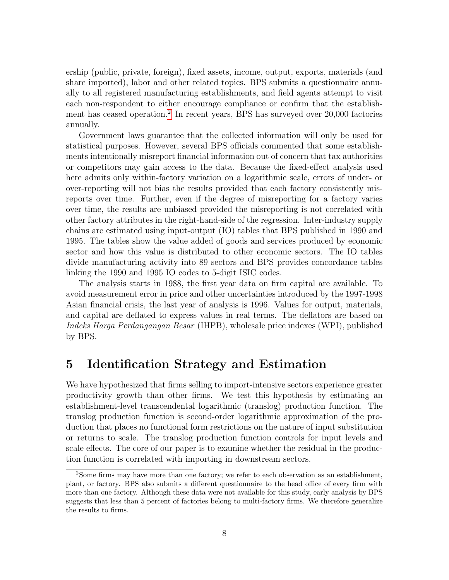ership (public, private, foreign), fixed assets, income, output, exports, materials (and share imported), labor and other related topics. BPS submits a questionnaire annually to all registered manufacturing establishments, and field agents attempt to visit each non-respondent to either encourage compliance or confirm that the establish-ment has ceased operation.<sup>[2](#page-7-1)</sup> In recent years, BPS has surveyed over 20,000 factories annually.

Government laws guarantee that the collected information will only be used for statistical purposes. However, several BPS officials commented that some establishments intentionally misreport financial information out of concern that tax authorities or competitors may gain access to the data. Because the fixed-effect analysis used here admits only within-factory variation on a logarithmic scale, errors of under- or over-reporting will not bias the results provided that each factory consistently misreports over time. Further, even if the degree of misreporting for a factory varies over time, the results are unbiased provided the misreporting is not correlated with other factory attributes in the right-hand-side of the regression. Inter-industry supply chains are estimated using input-output (IO) tables that BPS published in 1990 and 1995. The tables show the value added of goods and services produced by economic sector and how this value is distributed to other economic sectors. The IO tables divide manufacturing activity into 89 sectors and BPS provides concordance tables linking the 1990 and 1995 IO codes to 5-digit ISIC codes.

The analysis starts in 1988, the first year data on firm capital are available. To avoid measurement error in price and other uncertainties introduced by the 1997-1998 Asian financial crisis, the last year of analysis is 1996. Values for output, materials, and capital are deflated to express values in real terms. The deflators are based on Indeks Harga Perdangangan Besar (IHPB), wholesale price indexes (WPI), published by BPS.

#### <span id="page-7-0"></span>5 Identification Strategy and Estimation

We have hypothesized that firms selling to import-intensive sectors experience greater productivity growth than other firms. We test this hypothesis by estimating an establishment-level transcendental logarithmic (translog) production function. The translog production function is second-order logarithmic approximation of the production that places no functional form restrictions on the nature of input substitution or returns to scale. The translog production function controls for input levels and scale effects. The core of our paper is to examine whether the residual in the production function is correlated with importing in downstream sectors.

<span id="page-7-1"></span><sup>2</sup>Some firms may have more than one factory; we refer to each observation as an establishment, plant, or factory. BPS also submits a different questionnaire to the head office of every firm with more than one factory. Although these data were not available for this study, early analysis by BPS suggests that less than 5 percent of factories belong to multi-factory firms. We therefore generalize the results to firms.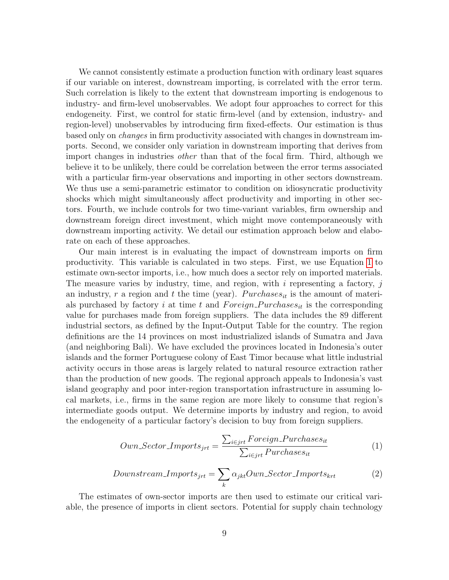We cannot consistently estimate a production function with ordinary least squares if our variable on interest, downstream importing, is correlated with the error term. Such correlation is likely to the extent that downstream importing is endogenous to industry- and firm-level unobservables. We adopt four approaches to correct for this endogeneity. First, we control for static firm-level (and by extension, industry- and region-level) unobservables by introducing firm fixed-effects. Our estimation is thus based only on changes in firm productivity associated with changes in downstream imports. Second, we consider only variation in downstream importing that derives from import changes in industries other than that of the focal firm. Third, although we believe it to be unlikely, there could be correlation between the error terms associated with a particular firm-year observations and importing in other sectors downstream. We thus use a semi-parametric estimator to condition on idiosyncratic productivity shocks which might simultaneously affect productivity and importing in other sectors. Fourth, we include controls for two time-variant variables, firm ownership and downstream foreign direct investment, which might move contemporaneously with downstream importing activity. We detail our estimation approach below and elaborate on each of these approaches.

Our main interest is in evaluating the impact of downstream imports on firm productivity. This variable is calculated in two steps. First, we use Equation [1](#page-8-0) to estimate own-sector imports, i.e., how much does a sector rely on imported materials. The measure varies by industry, time, and region, with  $i$  representing a factory,  $j$ an industry, r a region and t the time (year).  $P$ urchases<sub>it</sub> is the amount of materials purchased by factory i at time t and  $Foreign\_Purchases_{it}$  is the corresponding value for purchases made from foreign suppliers. The data includes the 89 different industrial sectors, as defined by the Input-Output Table for the country. The region definitions are the 14 provinces on most industrialized islands of Sumatra and Java (and neighboring Bali). We have excluded the provinces located in Indonesia's outer islands and the former Portuguese colony of East Timor because what little industrial activity occurs in those areas is largely related to natural resource extraction rather than the production of new goods. The regional approach appeals to Indonesia's vast island geography and poor inter-region transportation infrastructure in assuming local markets, i.e., firms in the same region are more likely to consume that region's intermediate goods output. We determine imports by industry and region, to avoid the endogeneity of a particular factory's decision to buy from foreign suppliers.

<span id="page-8-0"></span>
$$
Own\_ Sector\_Imports_{jrt} = \frac{\sum_{i \in jrt} Foreign\_Purchases_{it}}{\sum_{i \in jrt} Purchases_{it}} \tag{1}
$$

<span id="page-8-1"></span>
$$
Downstream\_Imports_{jrt} = \sum_{k} \alpha_{jkt} Own\_Sector\_Imports_{krt}
$$
 (2)

The estimates of own-sector imports are then used to estimate our critical variable, the presence of imports in client sectors. Potential for supply chain technology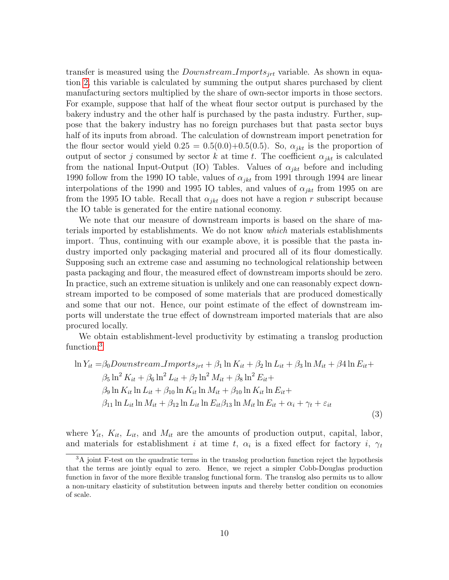transfer is measured using the *Downstream Imports*<sub>irt</sub> variable. As shown in equation [2,](#page-8-1) this variable is calculated by summing the output shares purchased by client manufacturing sectors multiplied by the share of own-sector imports in those sectors. For example, suppose that half of the wheat flour sector output is purchased by the bakery industry and the other half is purchased by the pasta industry. Further, suppose that the bakery industry has no foreign purchases but that pasta sector buys half of its inputs from abroad. The calculation of downstream import penetration for the flour sector would yield  $0.25 = 0.5(0.0) + 0.5(0.5)$ . So,  $\alpha_{jkt}$  is the proportion of output of sector j consumed by sector k at time t. The coefficient  $\alpha_{ikt}$  is calculated from the national Input-Output (IO) Tables. Values of  $\alpha_{jkt}$  before and including 1990 follow from the 1990 IO table, values of  $\alpha_{jkt}$  from 1991 through 1994 are linear interpolations of the 1990 and 1995 IO tables, and values of  $\alpha_{jkt}$  from 1995 on are from the 1995 IO table. Recall that  $\alpha_{ikt}$  does not have a region r subscript because the IO table is generated for the entire national economy.

We note that our measure of downstream imports is based on the share of materials imported by establishments. We do not know which materials establishments import. Thus, continuing with our example above, it is possible that the pasta industry imported only packaging material and procured all of its flour domestically. Supposing such an extreme case and assuming no technological relationship between pasta packaging and flour, the measured effect of downstream imports should be zero. In practice, such an extreme situation is unlikely and one can reasonably expect downstream imported to be composed of some materials that are produced domestically and some that our not. Hence, our point estimate of the effect of downstream imports will understate the true effect of downstream imported materials that are also procured locally.

We obtain establishment-level productivity by estimating a translog production function:<sup>[3](#page-9-0)</sup>

<span id="page-9-1"></span>
$$
\ln Y_{it} = \beta_0 \text{Downstream} \cdot \text{Imports}_{jrt} + \beta_1 \ln K_{it} + \beta_2 \ln L_{it} + \beta_3 \ln M_{it} + \beta_4 \ln E_{it} +
$$
  
\n
$$
\beta_5 \ln^2 K_{it} + \beta_6 \ln^2 L_{it} + \beta_7 \ln^2 M_{it} + \beta_8 \ln^2 E_{it} +
$$
  
\n
$$
\beta_9 \ln K_{it} \ln L_{it} + \beta_{10} \ln K_{it} \ln M_{it} + \beta_{10} \ln K_{it} \ln E_{it} +
$$
  
\n
$$
\beta_{11} \ln L_{it} \ln M_{it} + \beta_{12} \ln L_{it} \ln E_{it} \beta_{13} \ln M_{it} \ln E_{it} + \alpha_i + \gamma_t + \varepsilon_{it}
$$
\n(3)

where  $Y_{it}$ ,  $K_{it}$ ,  $L_{it}$ , and  $M_{it}$  are the amounts of production output, capital, labor, and materials for establishment *i* at time *t*,  $\alpha_i$  is a fixed effect for factory *i*,  $\gamma_t$ 

<span id="page-9-0"></span> $3A$  joint F-test on the quadratic terms in the translog production function reject the hypothesis that the terms are jointly equal to zero. Hence, we reject a simpler Cobb-Douglas production function in favor of the more flexible translog functional form. The translog also permits us to allow a non-unitary elasticity of substitution between inputs and thereby better condition on economies of scale.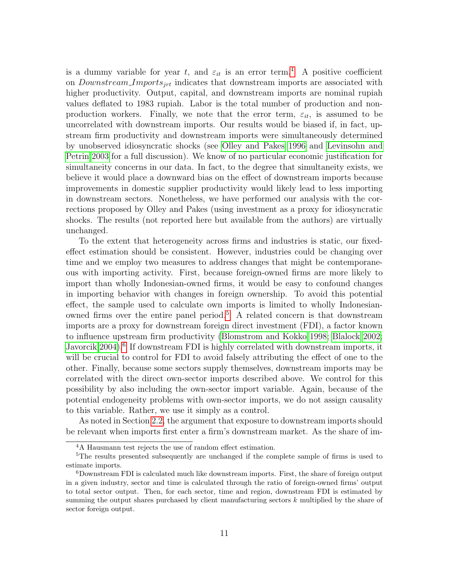is a dummy variable for year t, and  $\varepsilon_{it}$  is an error term.<sup>[4](#page-10-0)</sup> A positive coefficient on *Downstream Imports<sub>jrt</sub>* indicates that downstream imports are associated with higher productivity. Output, capital, and downstream imports are nominal rupiah values deflated to 1983 rupiah. Labor is the total number of production and nonproduction workers. Finally, we note that the error term,  $\varepsilon_{it}$ , is assumed to be uncorrelated with downstream imports. Our results would be biased if, in fact, upstream firm productivity and downstream imports were simultaneously determined by unobserved idiosyncratic shocks (see [Olley and Pakes 1996](#page-16-11) and [Levinsohn and](#page-15-12) [Petrin 2003](#page-15-12) for a full discussion). We know of no particular economic justification for simultaneity concerns in our data. In fact, to the degree that simultaneity exists, we believe it would place a downward bias on the effect of downstream imports because improvements in domestic supplier productivity would likely lead to less importing in downstream sectors. Nonetheless, we have performed our analysis with the corrections proposed by Olley and Pakes (using investment as a proxy for idiosyncratic shocks. The results (not reported here but available from the authors) are virtually unchanged.

To the extent that heterogeneity across firms and industries is static, our fixedeffect estimation should be consistent. However, industries could be changing over time and we employ two measures to address changes that might be contemporaneous with importing activity. First, because foreign-owned firms are more likely to import than wholly Indonesian-owned firms, it would be easy to confound changes in importing behavior with changes in foreign ownership. To avoid this potential effect, the sample used to calculate own imports is limited to wholly Indonesian-owned firms over the entire panel period.<sup>[5](#page-10-1)</sup> A related concern is that downstream imports are a proxy for downstream foreign direct investment (FDI), a factor known to influence upstream firm productivity [\(Blomstrom and Kokko 1998;](#page-14-8) [Blalock 2002;](#page-14-9) [Javorcik 2004\)](#page-15-8).<sup>[6](#page-10-2)</sup> If downstream FDI is highly correlated with downstream imports, it will be crucial to control for FDI to avoid falsely attributing the effect of one to the other. Finally, because some sectors supply themselves, downstream imports may be correlated with the direct own-sector imports described above. We control for this possibility by also including the own-sector import variable. Again, because of the potential endogeneity problems with own-sector imports, we do not assign causality to this variable. Rather, we use it simply as a control.

As noted in Section [2.2,](#page-3-0) the argument that exposure to downstream imports should be relevant when imports first enter a firm's downstream market. As the share of im-

<span id="page-10-1"></span><span id="page-10-0"></span><sup>4</sup>A Hausmann test rejects the use of random effect estimation.

<sup>&</sup>lt;sup>5</sup>The results presented subsequently are unchanged if the complete sample of firms is used to estimate imports.

<span id="page-10-2"></span><sup>6</sup>Downstream FDI is calculated much like downstream imports. First, the share of foreign output in a given industry, sector and time is calculated through the ratio of foreign-owned firms' output to total sector output. Then, for each sector, time and region, downstream FDI is estimated by summing the output shares purchased by client manufacturing sectors k multiplied by the share of sector foreign output.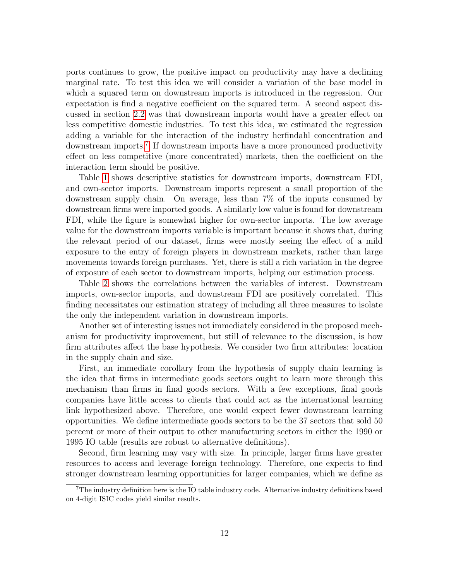ports continues to grow, the positive impact on productivity may have a declining marginal rate. To test this idea we will consider a variation of the base model in which a squared term on downstream imports is introduced in the regression. Our expectation is find a negative coefficient on the squared term. A second aspect discussed in section [2.2](#page-3-0) was that downstream imports would have a greater effect on less competitive domestic industries. To test this idea, we estimated the regression adding a variable for the interaction of the industry herfindahl concentration and downstream imports.<sup>[7](#page-11-0)</sup> If downstream imports have a more pronounced productivity effect on less competitive (more concentrated) markets, then the coefficient on the interaction term should be positive.

Table [1](#page-17-0) shows descriptive statistics for downstream imports, downstream FDI, and own-sector imports. Downstream imports represent a small proportion of the downstream supply chain. On average, less than 7% of the inputs consumed by downstream firms were imported goods. A similarly low value is found for downstream FDI, while the figure is somewhat higher for own-sector imports. The low average value for the downstream imports variable is important because it shows that, during the relevant period of our dataset, firms were mostly seeing the effect of a mild exposure to the entry of foreign players in downstream markets, rather than large movements towards foreign purchases. Yet, there is still a rich variation in the degree of exposure of each sector to downstream imports, helping our estimation process.

Table [2](#page-17-1) shows the correlations between the variables of interest. Downstream imports, own-sector imports, and downstream FDI are positively correlated. This finding necessitates our estimation strategy of including all three measures to isolate the only the independent variation in downstream imports.

Another set of interesting issues not immediately considered in the proposed mechanism for productivity improvement, but still of relevance to the discussion, is how firm attributes affect the base hypothesis. We consider two firm attributes: location in the supply chain and size.

First, an immediate corollary from the hypothesis of supply chain learning is the idea that firms in intermediate goods sectors ought to learn more through this mechanism than firms in final goods sectors. With a few exceptions, final goods companies have little access to clients that could act as the international learning link hypothesized above. Therefore, one would expect fewer downstream learning opportunities. We define intermediate goods sectors to be the 37 sectors that sold 50 percent or more of their output to other manufacturing sectors in either the 1990 or 1995 IO table (results are robust to alternative definitions).

Second, firm learning may vary with size. In principle, larger firms have greater resources to access and leverage foreign technology. Therefore, one expects to find stronger downstream learning opportunities for larger companies, which we define as

<span id="page-11-0"></span><sup>7</sup>The industry definition here is the IO table industry code. Alternative industry definitions based on 4-digit ISIC codes yield similar results.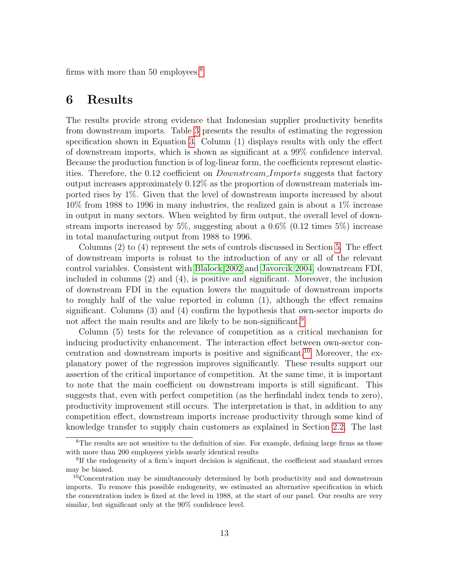firms with more than 50 employees.<sup>[8](#page-12-1)</sup>

#### <span id="page-12-0"></span>6 Results

The results provide strong evidence that Indonesian supplier productivity benefits from downstream imports. Table [3](#page-18-0) presents the results of estimating the regression specification shown in Equation [3.](#page-9-1) Column (1) displays results with only the effect of downstream imports, which is shown as significant at a 99% confidence interval. Because the production function is of log-linear form, the coefficients represent elasticities. Therefore, the 0.12 coefficient on *Downstream Imports* suggests that factory output increases approximately 0.12% as the proportion of downstream materials imported rises by 1%. Given that the level of downstream imports increased by about 10% from 1988 to 1996 in many industries, the realized gain is about a 1% increase in output in many sectors. When weighted by firm output, the overall level of downstream imports increased by 5%, suggesting about a  $0.6\%$  (0.12 times 5%) increase in total manufacturing output from 1988 to 1996.

Columns (2) to (4) represent the sets of controls discussed in Section [5.](#page-7-0) The effect of downstream imports is robust to the introduction of any or all of the relevant control variables. Consistent with [Blalock 2002](#page-14-9) and [Javorcik 2004,](#page-15-8) downstream FDI, included in columns (2) and (4), is positive and significant. Moreover, the inclusion of downstream FDI in the equation lowers the magnitude of downstream imports to roughly half of the value reported in column (1), although the effect remains significant. Columns (3) and (4) confirm the hypothesis that own-sector imports do not affect the main results and are likely to be non-significant.<sup>[9](#page-12-2)</sup>

Column (5) tests for the relevance of competition as a critical mechanism for inducing productivity enhancement. The interaction effect between own-sector con-centration and downstream imports is positive and significant.<sup>[10](#page-12-3)</sup> Moreover, the explanatory power of the regression improves significantly. These results support our assertion of the critical importance of competition. At the same time, it is important to note that the main coefficient on downstream imports is still significant. This suggests that, even with perfect competition (as the herfindahl index tends to zero), productivity improvement still occurs. The interpretation is that, in addition to any competition effect, downstream imports increase productivity through some kind of knowledge transfer to supply chain customers as explained in Section [2.2.](#page-3-0) The last

<span id="page-12-1"></span><sup>&</sup>lt;sup>8</sup>The results are not sensitive to the definition of size. For example, defining large firms as those with more than 200 employees yields nearly identical results

<span id="page-12-2"></span><sup>&</sup>lt;sup>9</sup>If the endogeneity of a firm's import decision is significant, the coefficient and standard errors may be biased.

<span id="page-12-3"></span><sup>&</sup>lt;sup>10</sup>Concentration may be simultaneously determined by both productivity and and downstream imports. To remove this possible endogeneity, we estimated an alternative specification in which the concentration index is fixed at the level in 1988, at the start of our panel. Our results are very similar, but significant only at the 90% confidence level.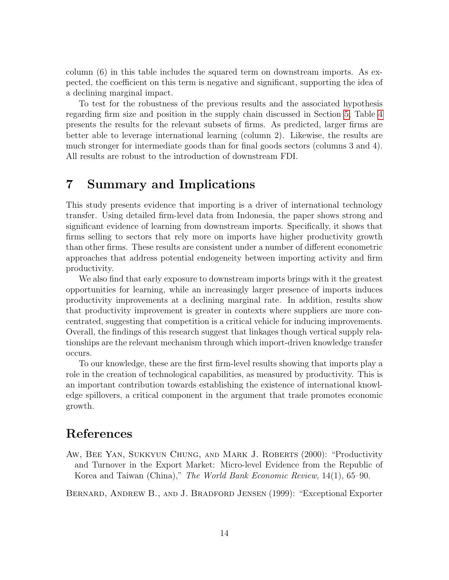column (6) in this table includes the squared term on downstream imports. As expected, the coefficient on this term is negative and significant, supporting the idea of a declining marginal impact.

To test for the robustness of the previous results and the associated hypothesis regarding firm size and position in the supply chain discussed in Section [5,](#page-7-0) Table [4](#page-19-0) presents the results for the relevant subsets of firms. As predicted, larger firms are better able to leverage international learning (column 2). Likewise, the results are much stronger for intermediate goods than for final goods sectors (columns 3 and 4). All results are robust to the introduction of downstream FDI.

#### <span id="page-13-0"></span>7 Summary and Implications

This study presents evidence that importing is a driver of international technology transfer. Using detailed firm-level data from Indonesia, the paper shows strong and significant evidence of learning from downstream imports. Specifically, it shows that firms selling to sectors that rely more on imports have higher productivity growth than other firms. These results are consistent under a number of different econometric approaches that address potential endogeneity between importing activity and firm productivity.

We also find that early exposure to downstream imports brings with it the greatest opportunities for learning, while an increasingly larger presence of imports induces productivity improvements at a declining marginal rate. In addition, results show that productivity improvement is greater in contexts where suppliers are more concentrated, suggesting that competition is a critical vehicle for inducing improvements. Overall, the findings of this research suggest that linkages though vertical supply relationships are the relevant mechanism through which import-driven knowledge transfer occurs.

To our knowledge, these are the first firm-level results showing that imports play a role in the creation of technological capabilities, as measured by productivity. This is an important contribution towards establishing the existence of international knowledge spillovers, a critical component in the argument that trade promotes economic growth.

#### References

<span id="page-13-2"></span>AW, BEE YAN, SUKKYUN CHUNG, AND MARK J. ROBERTS (2000): "Productivity and Turnover in the Export Market: Micro-level Evidence from the Republic of Korea and Taiwan (China)," The World Bank Economic Review, 14(1), 65–90.

<span id="page-13-1"></span>Bernard, Andrew B., and J. Bradford Jensen (1999): "Exceptional Exporter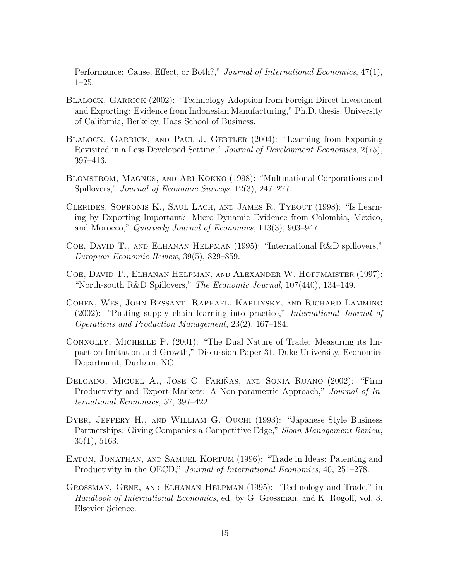Performance: Cause, Effect, or Both?," Journal of International Economics, 47(1), 1–25.

- <span id="page-14-9"></span>BLALOCK, GARRICK (2002): "Technology Adoption from Foreign Direct Investment and Exporting: Evidence from Indonesian Manufacturing," Ph.D. thesis, University of California, Berkeley, Haas School of Business.
- <span id="page-14-7"></span>Blalock, Garrick, and Paul J. Gertler (2004): "Learning from Exporting Revisited in a Less Developed Setting," Journal of Development Economics, 2(75), 397–416.
- <span id="page-14-8"></span>Blomstrom, Magnus, and Ari Kokko (1998): "Multinational Corporations and Spillovers," Journal of Economic Surveys, 12(3), 247–277.
- <span id="page-14-5"></span>Clerides, Sofronis K., Saul Lach, and James R. Tybout (1998): "Is Learning by Exporting Important? Micro-Dynamic Evidence from Colombia, Mexico, and Morocco," Quarterly Journal of Economics, 113(3), 903–947.
- <span id="page-14-2"></span>Coe, David T., and Elhanan Helpman (1995): "International R&D spillovers," European Economic Review, 39(5), 829–859.
- <span id="page-14-3"></span>Coe, David T., Elhanan Helpman, and Alexander W. Hoffmaister (1997): "North-south R&D Spillovers," The Economic Journal, 107(440), 134–149.
- <span id="page-14-11"></span>Cohen, Wes, John Bessant, Raphael. Kaplinsky, and Richard Lamming (2002): "Putting supply chain learning into practice," International Journal of Operations and Production Management, 23(2), 167–184.
- <span id="page-14-4"></span>Connolly, Michelle P. (2001): "The Dual Nature of Trade: Measuring its Impact on Imitation and Growth," Discussion Paper 31, Duke University, Economics Department, Durham, NC.
- <span id="page-14-6"></span>DELGADO, MIGUEL A., JOSE C. FARIÑAS, AND SONIA RUANO (2002): "Firm Productivity and Export Markets: A Non-parametric Approach," Journal of International Economics, 57, 397–422.
- <span id="page-14-10"></span>DYER, JEFFERY H., AND WILLIAM G. OUCHI (1993): "Japanese Style Business Partnerships: Giving Companies a Competitive Edge," Sloan Management Review, 35(1), 5163.
- <span id="page-14-1"></span>EATON, JONATHAN, AND SAMUEL KORTUM (1996): "Trade in Ideas: Patenting and Productivity in the OECD," Journal of International Economics, 40, 251–278.
- <span id="page-14-0"></span>Grossman, Gene, and Elhanan Helpman (1995): "Technology and Trade," in Handbook of International Economics, ed. by G. Grossman, and K. Rogoff, vol. 3. Elsevier Science.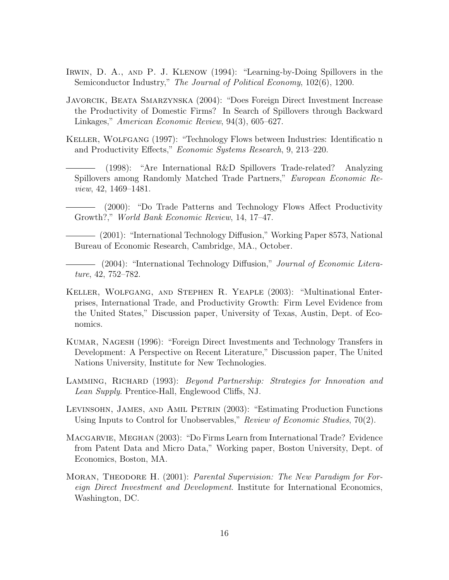- <span id="page-15-4"></span>Irwin, D. A., and P. J. Klenow (1994): "Learning-by-Doing Spillovers in the Semiconductor Industry," The Journal of Political Economy, 102(6), 1200.
- <span id="page-15-8"></span>Javorcik, Beata Smarzynska (2004): "Does Foreign Direct Investment Increase the Productivity of Domestic Firms? In Search of Spillovers through Backward Linkages," American Economic Review, 94(3), 605–627.
- <span id="page-15-3"></span><span id="page-15-2"></span>Keller, Wolfgang (1997): "Technology Flows between Industries: Identificatio n and Productivity Effects," Economic Systems Research, 9, 213–220.
	- (1998): "Are International R&D Spillovers Trade-related? Analyzing Spillovers among Randomly Matched Trade Partners," European Economic Review, 42, 1469–1481.
- <span id="page-15-0"></span>(2000): "Do Trade Patterns and Technology Flows Affect Productivity Growth?," World Bank Economic Review, 14, 17–47.
- <span id="page-15-1"></span>(2001): "International Technology Diffusion," Working Paper 8573, National Bureau of Economic Research, Cambridge, MA., October.
- <span id="page-15-7"></span>(2004): "International Technology Diffusion," Journal of Economic Literature, 42, 752–782.
- <span id="page-15-10"></span>Keller, Wolfgang, and Stephen R. Yeaple (2003): "Multinational Enterprises, International Trade, and Productivity Growth: Firm Level Evidence from the United States," Discussion paper, University of Texas, Austin, Dept. of Economics.
- <span id="page-15-5"></span>Kumar, Nagesh (1996): "Foreign Direct Investments and Technology Transfers in Development: A Perspective on Recent Literature," Discussion paper, The United Nations University, Institute for New Technologies.
- <span id="page-15-11"></span>LAMMING, RICHARD (1993): *Beyond Partnership: Strategies for Innovation and* Lean Supply. Prentice-Hall, Englewood Cliffs, NJ.
- <span id="page-15-12"></span>Levinsohn, James, and Amil Petrin (2003): "Estimating Production Functions Using Inputs to Control for Unobservables," Review of Economic Studies, 70(2).
- <span id="page-15-9"></span>Macgarvie, Meghan (2003): "Do Firms Learn from International Trade? Evidence from Patent Data and Micro Data," Working paper, Boston University, Dept. of Economics, Boston, MA.
- <span id="page-15-6"></span>MORAN, THEODORE H. (2001): Parental Supervision: The New Paradigm for Foreign Direct Investment and Development. Institute for International Economics, Washington, DC.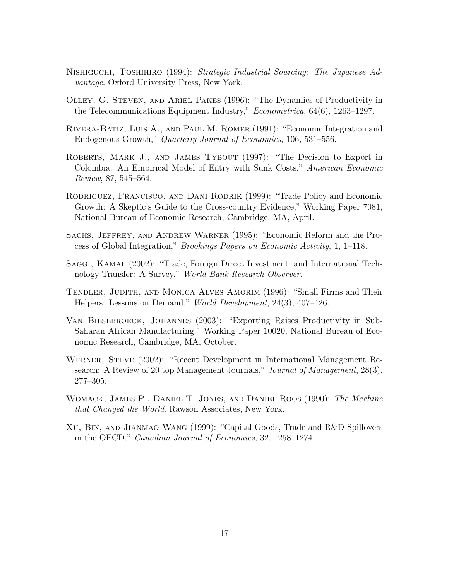- <span id="page-16-9"></span>Nishiguchi, Toshihiro (1994): Strategic Industrial Sourcing: The Japanese Advantage. Oxford University Press, New York.
- <span id="page-16-11"></span>Olley, G. Steven, and Ariel Pakes (1996): "The Dynamics of Productivity in the Telecommunications Equipment Industry," Econometrica, 64(6), 1263–1297.
- <span id="page-16-7"></span>Rivera-Batiz, Luis A., and Paul M. Romer (1991): "Economic Integration and Endogenous Growth," Quarterly Journal of Economics, 106, 531–556.
- <span id="page-16-5"></span>ROBERTS, MARK J., AND JAMES TYBOUT (1997): "The Decision to Export in Colombia: An Empirical Model of Entry with Sunk Costs," American Economic Review, 87, 545–564.
- <span id="page-16-3"></span>Rodriguez, Francisco, and Dani Rodrik (1999): "Trade Policy and Economic Growth: A Skeptic's Guide to the Cross-country Evidence," Working Paper 7081, National Bureau of Economic Research, Cambridge, MA, April.
- <span id="page-16-2"></span>Sachs, Jeffrey, and Andrew Warner (1995): "Economic Reform and the Process of Global Integration," Brookings Papers on Economic Activity, 1, 1–118.
- <span id="page-16-0"></span>Saggi, Kamal (2002): "Trade, Foreign Direct Investment, and International Technology Transfer: A Survey," World Bank Research Observer.
- <span id="page-16-10"></span>Tendler, Judith, and Monica Alves Amorim (1996): "Small Firms and Their Helpers: Lessons on Demand," World Development, 24(3), 407–426.
- <span id="page-16-6"></span>Van Biesebroeck, Johannes (2003): "Exporting Raises Productivity in Sub-Saharan African Manufacturing," Working Paper 10020, National Bureau of Economic Research, Cambridge, MA, October.
- <span id="page-16-1"></span>Werner, Steve (2002): "Recent Development in International Management Research: A Review of 20 top Management Journals," Journal of Management, 28(3), 277–305.
- <span id="page-16-8"></span>Womack, James P., Daniel T. Jones, and Daniel Roos (1990): The Machine that Changed the World. Rawson Associates, New York.
- <span id="page-16-4"></span>Xu, Bin, and Jianmao Wang (1999): "Capital Goods, Trade and R&D Spillovers in the OECD," Canadian Journal of Economics, 32, 1258–1274.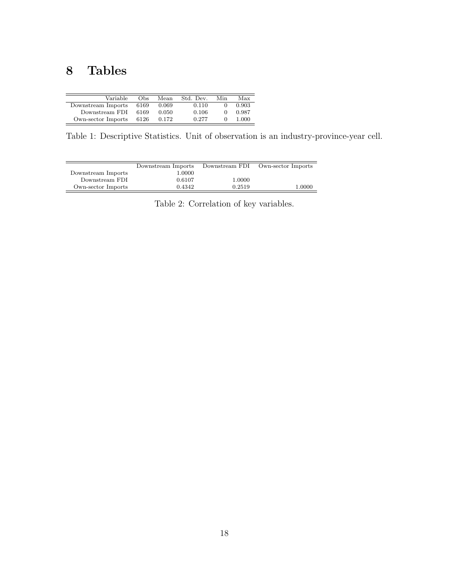## 8 Tables

| Obs  | Mean  | Std. Dev. | Min | Max   |
|------|-------|-----------|-----|-------|
| 6169 | 0.069 | 0.110     |     | 0.903 |
| 6169 | 0.050 | 0.106     |     | 0.987 |
| 6126 | 0.172 | 0.277     |     | 1.000 |
|      |       |           |     |       |

<span id="page-17-0"></span>Table 1: Descriptive Statistics. Unit of observation is an industry-province-year cell.

| Downstream Imports |        | Own-sector Imports |
|--------------------|--------|--------------------|
| 1.0000             |        |                    |
| 0.6107             | 1.0000 |                    |
| 0.4342             | 0.2519 | 1.0000             |
|                    |        | Downstream FDI     |

<span id="page-17-1"></span>Table 2: Correlation of key variables.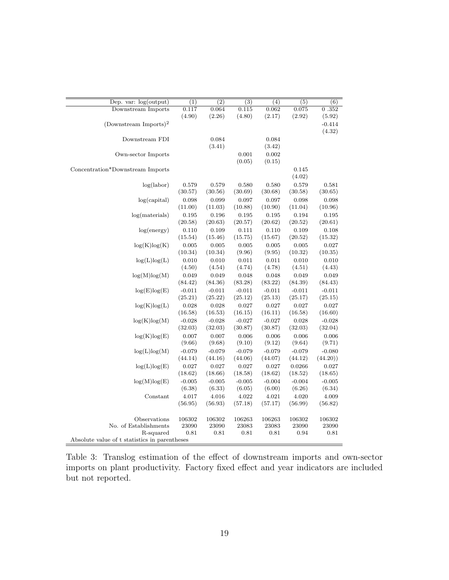| Dep. var: $log(output)$           | $\overline{(1)}$                              | $\overline{(2)}$ | $\overline{(3)}$ | $\overline{(4)}$ | $\overline{(5)}$ | $\overline{(6)}$ |
|-----------------------------------|-----------------------------------------------|------------------|------------------|------------------|------------------|------------------|
| Downstream Imports                | 0.117                                         | 0.064            | 0.115            | 0.062            | 0.075            | 0.352            |
|                                   | (4.90)                                        | (2.26)           | (4.80)           | (2.17)           | (2.92)           | (5.92)           |
| (Downstream Imports) <sup>2</sup> |                                               |                  |                  |                  |                  | $-0.414$         |
|                                   |                                               |                  |                  |                  |                  | (4.32)           |
| Downstream FDI                    |                                               | 0.084            |                  | 0.084            |                  |                  |
|                                   |                                               | (3.41)           |                  | (3.42)           |                  |                  |
| Own-sector Imports                |                                               |                  | 0.001            | 0.002            |                  |                  |
|                                   |                                               |                  | (0.05)           | (0.15)           |                  |                  |
| Concentration*Downstream Imports  |                                               |                  |                  |                  | 0.145            |                  |
|                                   |                                               |                  |                  |                  | (4.02)           |                  |
| log(labor)                        | 0.579                                         | 0.579            | 0.580            | 0.580            | 0.579            | 0.581            |
|                                   | (30.57)                                       | (30.56)          | (30.69)          | (30.68)          | (30.58)          | (30.65)          |
| log(capital)                      | 0.098                                         | 0.099            | 0.097            | 0.097            | 0.098            | 0.098            |
|                                   | (11.00)                                       | (11.03)          | (10.88)          | (10.90)          | (11.04)          | (10.96)          |
| log(materials)                    | 0.195                                         | 0.196            | 0.195            | 0.195            | 0.194            | 0.195            |
|                                   | (20.58)                                       | (20.63)          | (20.57)          | (20.62)          | (20.52)          | (20.61)          |
| log(energy)                       | 0.110                                         | 0.109            | 0.111            | 0.110            | 0.109            | 0.108            |
|                                   | (15.54)                                       | (15.46)          | (15.75)          | (15.67)          | (20.52)          | (15.32)          |
| log(K)log(K)                      | 0.005                                         | 0.005            | 0.005            | 0.005            | 0.005            | 0.027            |
|                                   | (10.34)                                       | (10.34)          | (9.96)           | (9.95)           | (10.32)          | (10.35)          |
|                                   |                                               |                  |                  |                  |                  |                  |
| log(L)log(L)                      | 0.010                                         | 0.010            | 0.011            | 0.011            | 0.010            | 0.010            |
|                                   | (4.50)                                        | (4.54)           | (4.74)           | (4.78)           | (4.51)           | (4.43)           |
| log(M)log(M)                      | 0.049                                         | 0.049            | 0.048            | 0.048            | 0.049            | 0.049            |
|                                   | (84.42)                                       | (84.36)          | (83.28)          | (83.22)          | (84.39)          | (84.43)          |
| log(E)log(E)                      | $-0.011$                                      | $-0.011$         | $-0.011$         | $-0.011$         | $-0.011$         | $-0.011$         |
|                                   | (25.21)                                       | (25.22)          | (25.12)          | (25.13)          | (25.17)          | (25.15)          |
| log(K)log(L)                      | 0.028                                         | 0.028            | 0.027            | 0.027            | 0.027            | 0.027            |
|                                   | (16.58)                                       | (16.53)          | (16.15)          | (16.11)          | (16.58)          | (16.60)          |
| log(K)log(M)                      | $-0.028$                                      | $-0.028$         | $-0.027$         | $-0.027$         | 0.028            | $-0.028$         |
|                                   | (32.03)                                       | (32.03)          | (30.87)          | (30.87)          | (32.03)          | (32.04)          |
| log(K)log(E)                      | 0.007                                         | 0.007            | 0.006            | 0.006            | 0.006            | 0.006            |
|                                   | (9.66)                                        | (9.68)           | (9.10)           | (9.12)           | (9.64)           | (9.71)           |
| log(L)log(M)                      | $-0.079$                                      | $-0.079$         | $-0.079$         | $-0.079$         | $-0.079$         | $-0.080$         |
|                                   | (44.14)                                       | (44.16)          | (44.06)          | (44.07)          | (44.12)          | (44.20)          |
| log(L)log(E)                      | 0.027                                         | 0.027            | 0.027            | 0.027            | 0.0266           | 0.027            |
|                                   | (18.62)                                       | (18.66)          | (18.58)          | (18.62)          | (18.52)          | (18.65)          |
| log(M)log(E)                      | $-0.005$                                      | $-0.005$         | $-0.005$         | $-0.004$         | $-0.004$         | $-0.005$         |
|                                   | (6.38)                                        | (6.33)           | (6.05)           | (6.00)           | (6.26)           | (6.34)           |
| Constant                          | 4.017                                         | 4.016            | 4.022            | 4.021            | 4.020            | 4.009            |
|                                   | (56.95)                                       | (56.93)          | (57.18)          | (57.17)          | (56.99)          | (56.82)          |
|                                   |                                               |                  |                  |                  |                  |                  |
| Observations                      | 106302                                        | 106302           | 106263           | 106263           | 106302           | 106302           |
| No. of Establishments             | 23090                                         | 23090            | 23083            | 23083            | 23090            | 23090            |
| R-squared                         | 0.81                                          | 0.81             | 0.81             | 0.81             | 0.94             | 0.81             |
|                                   | Absolute value of t statistics in parentheses |                  |                  |                  |                  |                  |

<span id="page-18-0"></span>Table 3: Translog estimation of the effect of downstream imports and own-sector imports on plant productivity. Factory fixed effect and year indicators are included but not reported.